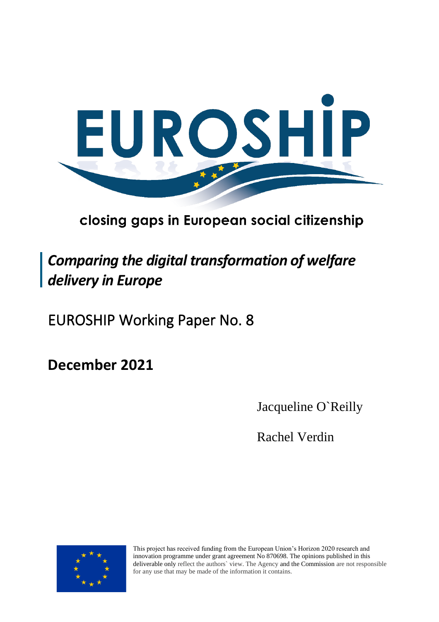

# closing gaps in European social citizenship

# *Comparing the digital transformation of welfare delivery in Europe*

EUROSHIP Working Paper No. 8

**December 2021** 

Jacqueline O`Reilly

Rachel Verdin



This project has received funding from the European Union's Horizon 2020 research and innovation programme under grant agreement No 870698. The opinions published in this deliverable only reflect the authors` view. The Agency and the Commission are not responsible for any use that may be made of the information it contains.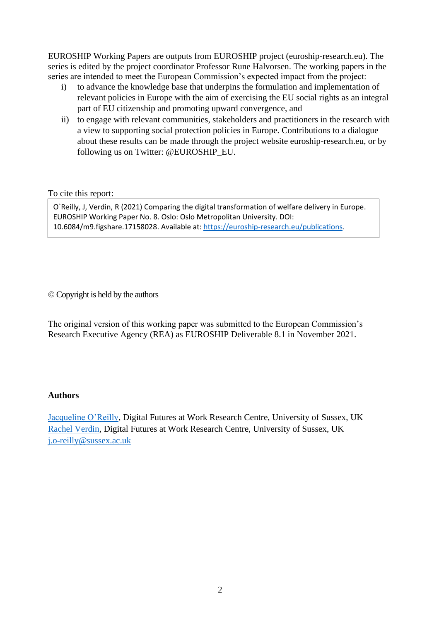EUROSHIP Working Papers are outputs from EUROSHIP project (euroship-research.eu). The series is edited by the project coordinator Professor Rune Halvorsen. The working papers in the series are intended to meet the European Commission's expected impact from the project:

- i) to advance the knowledge base that underpins the formulation and implementation of relevant policies in Europe with the aim of exercising the EU social rights as an integral part of EU citizenship and promoting upward convergence, and
- ii) to engage with relevant communities, stakeholders and practitioners in the research with a view to supporting social protection policies in Europe. Contributions to a dialogue about these results can be made through the project website euroship-research.eu, or by following us on Twitter: @EUROSHIP\_EU.

To cite this report:

10.6084/m9.figshare.17158028. Available at[: https://euroship-research.eu/publications.](https://euroship-research.eu/publications) O`Reilly, J, Verdin, R (2021) Comparing the digital transformation of welfare delivery in Europe. EUROSHIP Working Paper No. 8. Oslo: Oslo Metropolitan University. DOI:

© Copyright is held by the authors

The original version of this working paper was submitted to the European Commission's Research Executive Agency (REA) as EUROSHIP Deliverable 8.1 in November 2021.

#### **Authors**

[Jacqueline O'Reilly,](mailto:j.o-reilly@sussex.ac.uk) Digital Futures at Work Research Centre, University of Sussex, UK [Rachel Verdin,](mailto:r.f.m.lyons@sussex.ac.uk) Digital Futures at Work Research Centre, University of Sussex, UK [j.o-reilly@sussex.ac.uk](mailto:j.o-reilly@sussex.ac.uk)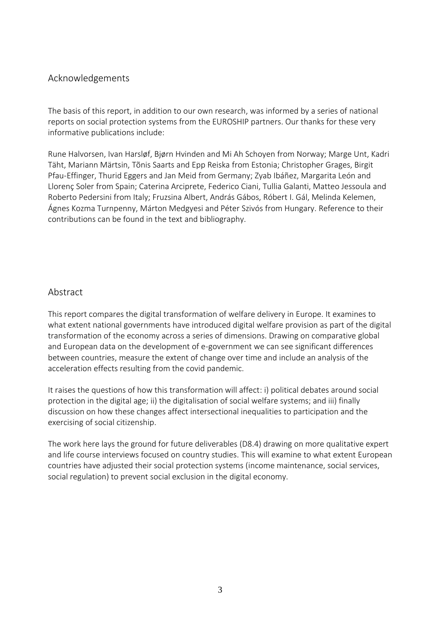#### <span id="page-2-0"></span>Acknowledgements

The basis of this report, in addition to our own research, was informed by a series of national reports on social protection systems from the EUROSHIP partners. Our thanks for these very informative publications include:

Rune Halvorsen, Ivan Harsløf, Bjørn Hvinden and Mi Ah Schoyen from Norway; Marge Unt, Kadri Täht, Mariann Märtsin, Tõnis Saarts and Epp Reiska from Estonia; Christopher Grages, Birgit Pfau-Effinger, Thurid Eggers and Jan Meid from Germany; Zyab Ibáñez, Margarita León and Llorenç Soler from Spain; Caterina Arciprete, Federico Ciani, Tullia Galanti, Matteo Jessoula and Roberto Pedersini from Italy; Fruzsina Albert, András Gábos, Róbert I. Gál, Melinda Kelemen, Ágnes Kozma Turnpenny, Márton Medgyesi and Péter Szivós from Hungary. Reference to their contributions can be found in the text and bibliography.

#### <span id="page-2-1"></span>Abstract

This report compares the digital transformation of welfare delivery in Europe. It examines to what extent national governments have introduced digital welfare provision as part of the digital transformation of the economy across a series of dimensions. Drawing on comparative global and European data on the development of e-government we can see significant differences between countries, measure the extent of change over time and include an analysis of the acceleration effects resulting from the covid pandemic.

It raises the questions of how this transformation will affect: i) political debates around social protection in the digital age; ii) the digitalisation of social welfare systems; and iii) finally discussion on how these changes affect intersectional inequalities to participation and the exercising of social citizenship.

The work here lays the ground for future deliverables (D8.4) drawing on more qualitative expert and life course interviews focused on country studies. This will examine to what extent European countries have adjusted their social protection systems (income maintenance, social services, social regulation) to prevent social exclusion in the digital economy.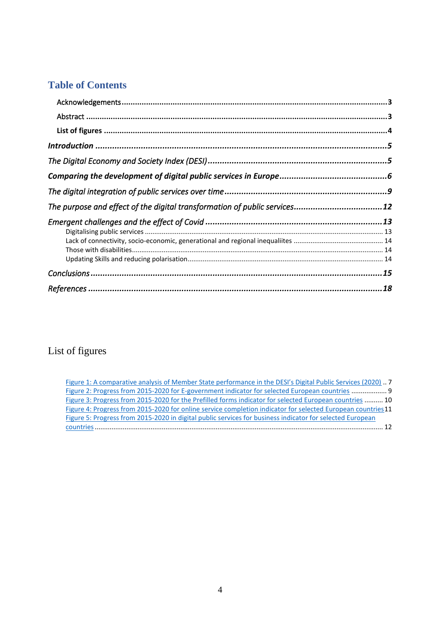## **Table of Contents**

| The purpose and effect of the digital transformation of public services12 |  |
|---------------------------------------------------------------------------|--|
|                                                                           |  |
|                                                                           |  |
|                                                                           |  |
|                                                                           |  |
|                                                                           |  |
|                                                                           |  |
|                                                                           |  |

# <span id="page-3-0"></span>List of figures

| Figure 1: A comparative analysis of Member State performance in the DESI's Digital Public Services (2020) 7  |
|--------------------------------------------------------------------------------------------------------------|
| Figure 2: Progress from 2015-2020 for E-government indicator for selected European countries  9              |
| Figure 3: Progress from 2015-2020 for the Prefilled forms indicator for selected European countries  10      |
| Figure 4: Progress from 2015-2020 for online service completion indicator for selected European countries 11 |
| Figure 5: Progress from 2015-2020 in digital public services for business indicator for selected European    |
|                                                                                                              |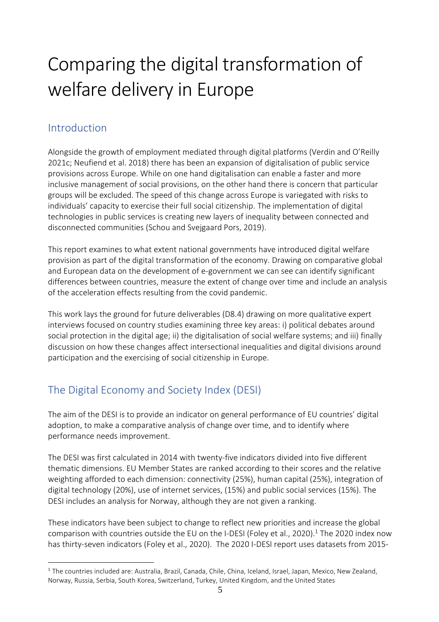# Comparing the digital transformation of welfare delivery in Europe

# <span id="page-4-0"></span>Introduction

Alongside the growth of employment mediated through digital platforms (Verdin and O'Reilly 2021c; Neufiend et al. 2018) there has been an expansion of digitalisation of public service provisions across Europe. While on one hand digitalisation can enable a faster and more inclusive management of social provisions, on the other hand there is concern that particular groups will be excluded. The speed of this change across Europe is variegated with risks to individuals' capacity to exercise their full social citizenship. The implementation of digital technologies in public services is creating new layers of inequality between connected and disconnected communities (Schou and Svejgaard Pors, 2019).

This report examines to what extent national governments have introduced digital welfare provision as part of the digital transformation of the economy. Drawing on comparative global and European data on the development of e-government we can see can identify significant differences between countries, measure the extent of change over time and include an analysis of the acceleration effects resulting from the covid pandemic.

This work lays the ground for future deliverables (D8.4) drawing on more qualitative expert interviews focused on country studies examining three key areas: i) political debates around social protection in the digital age; ii) the digitalisation of social welfare systems; and iii) finally discussion on how these changes affect intersectional inequalities and digital divisions around participation and the exercising of social citizenship in Europe.

# <span id="page-4-1"></span>The Digital Economy and Society Index (DESI)

The aim of the DESI is to provide an indicator on general performance of EU countries' digital adoption, to make a comparative analysis of change over time, and to identify where performance needs improvement.

The DESI was first calculated in 2014 with twenty-five indicators divided into five different thematic dimensions. EU Member States are ranked according to their scores and the relative weighting afforded to each dimension: connectivity (25%), human capital (25%), integration of digital technology (20%), use of internet services, (15%) and public social services (15%). The DESI includes an analysis for Norway, although they are not given a ranking.

These indicators have been subject to change to reflect new priorities and increase the global comparison with countries outside the EU on the I-DESI (Foley et al., 2020). <sup>1</sup> The 2020 index now has thirty-seven indicators (Foley et al., 2020). The 2020 I-DESI report uses datasets from 2015-

<sup>&</sup>lt;sup>1</sup> The countries included are: Australia, Brazil, Canada, Chile, China, Iceland, Israel, Japan, Mexico, New Zealand, Norway, Russia, Serbia, South Korea, Switzerland, Turkey, United Kingdom, and the United States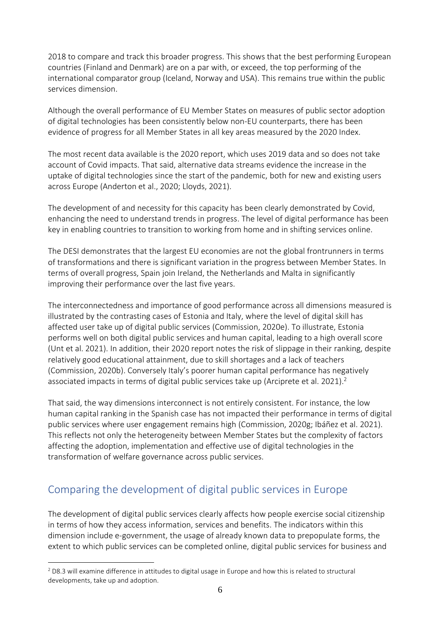2018 to compare and track this broader progress. This shows that the best performing European countries (Finland and Denmark) are on a par with, or exceed, the top performing of the international comparator group (Iceland, Norway and USA). This remains true within the public services dimension.

Although the overall performance of EU Member States on measures of public sector adoption of digital technologies has been consistently below non-EU counterparts, there has been evidence of progress for all Member States in all key areas measured by the 2020 Index.

The most recent data available is the 2020 report, which uses 2019 data and so does not take account of Covid impacts. That said, alternative data streams evidence the increase in the uptake of digital technologies since the start of the pandemic, both for new and existing users across Europe (Anderton et al., 2020; Lloyds, 2021).

The development of and necessity for this capacity has been clearly demonstrated by Covid, enhancing the need to understand trends in progress. The level of digital performance has been key in enabling countries to transition to working from home and in shifting services online.

The DESI demonstrates that the largest EU economies are not the global frontrunners in terms of transformations and there is significant variation in the progress between Member States. In terms of overall progress, Spain join Ireland, the Netherlands and Malta in significantly improving their performance over the last five years.

The interconnectedness and importance of good performance across all dimensions measured is illustrated by the contrasting cases of Estonia and Italy, where the level of digital skill has affected user take up of digital public services (Commission, 2020e). To illustrate, Estonia performs well on both digital public services and human capital, leading to a high overall score (Unt et al. 2021). In addition, their 2020 report notes the risk of slippage in their ranking, despite relatively good educational attainment, due to skill shortages and a lack of teachers (Commission, 2020b). Conversely Italy's poorer human capital performance has negatively associated impacts in terms of digital public services take up (Arciprete et al. 2021).<sup>2</sup>

That said, the way dimensions interconnect is not entirely consistent. For instance, the low human capital ranking in the Spanish case has not impacted their performance in terms of digital public services where user engagement remains high (Commission, 2020g; Ibáñez et al. 2021). This reflects not only the heterogeneity between Member States but the complexity of factors affecting the adoption, implementation and effective use of digital technologies in the transformation of welfare governance across public services.

# <span id="page-5-0"></span>Comparing the development of digital public services in Europe

The development of digital public services clearly affects how people exercise social citizenship in terms of how they access information, services and benefits. The indicators within this dimension include e-government, the usage of already known data to prepopulate forms, the extent to which public services can be completed online, digital public services for business and

 $2$  D8.3 will examine difference in attitudes to digital usage in Europe and how this is related to structural developments, take up and adoption.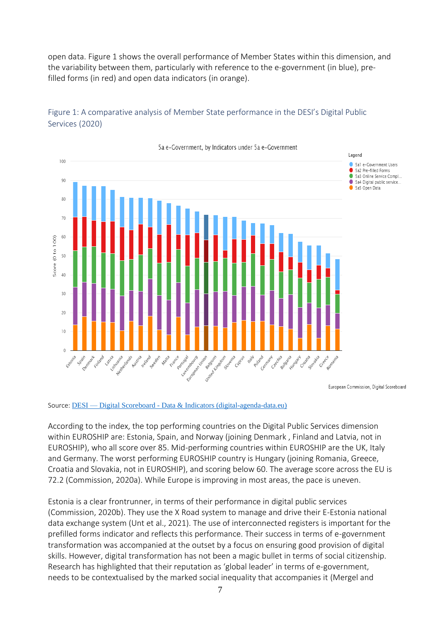open data. Figure 1 shows the overall performance of Member States within this dimension, and the variability between them, particularly with reference to the e-government (in blue), prefilled forms (in red) and open data indicators (in orange).



#### <span id="page-6-0"></span>Figure 1: A comparative analysis of Member State performance in the DESI's Digital Public Services (2020)

Source: DESI — Digital Scoreboard - [Data & Indicators \(digital-agenda-data.eu\)](https://digital-agenda-data.eu/datasets/desi/visualizations)

According to the index, the top performing countries on the Digital Public Services dimension within EUROSHIP are: Estonia, Spain, and Norway (joining Denmark , Finland and Latvia, not in EUROSHIP), who all score over 85. Mid-performing countries within EUROSHIP are the UK, Italy and Germany. The worst performing EUROSHIP country is Hungary (joining Romania, Greece, Croatia and Slovakia, not in EUROSHIP), and scoring below 60. The average score across the EU is 72.2 (Commission, 2020a). While Europe is improving in most areas, the pace is uneven.

Estonia is a clear frontrunner, in terms of their performance in digital public services (Commission, 2020b). They use the X Road system to manage and drive their E-Estonia national data exchange system (Unt et al., 2021). The use of interconnected registers is important for the prefilled forms indicator and reflects this performance. Their success in terms of e-government transformation was accompanied at the outset by a focus on ensuring good provision of digital skills. However, digital transformation has not been a magic bullet in terms of social citizenship. Research has highlighted that their reputation as 'global leader' in terms of e-government, needs to be contextualised by the marked social inequality that accompanies it (Mergel and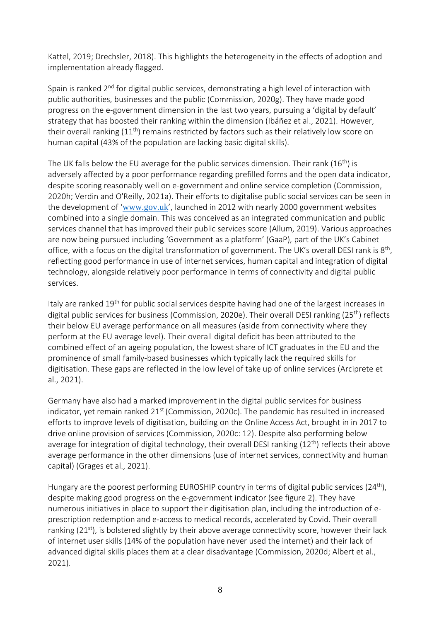Kattel, 2019; Drechsler, 2018). This highlights the heterogeneity in the effects of adoption and implementation already flagged.

Spain is ranked 2<sup>nd</sup> for digital public services, demonstrating a high level of interaction with public authorities, businesses and the public (Commission, 2020g). They have made good progress on the e-government dimension in the last two years, pursuing a 'digital by default' strategy that has boosted their ranking within the dimension (Ibáñez et al., 2021). However, their overall ranking  $(11<sup>th</sup>)$  remains restricted by factors such as their relatively low score on human capital (43% of the population are lacking basic digital skills).

The UK falls below the EU average for the public services dimension. Their rank  $(16^{th})$  is adversely affected by a poor performance regarding prefilled forms and the open data indicator, despite scoring reasonably well on e-government and online service completion (Commission, 2020h; Verdin and O'Reilly, 2021a). Their efforts to digitalise public social services can be seen in the development of '[www.gov.uk](http://www.gov.uk)/)', launched in 2012 with nearly 2000 government websites combined into a single domain. This was conceived as an integrated communication and public services channel that has improved their public services score (Allum, 2019). Various approaches are now being pursued including 'Government as a platform' (GaaP), part of the UK's Cabinet office, with a focus on the digital transformation of government. The UK's overall DESI rank is  $8^{\text{th}}$ , reflecting good performance in use of internet services, human capital and integration of digital technology, alongside relatively poor performance in terms of connectivity and digital public services.

Italy are ranked 19<sup>th</sup> for public social services despite having had one of the largest increases in digital public services for business (Commission, 2020e). Their overall DESI ranking (25<sup>th</sup>) reflects their below EU average performance on all measures (aside from connectivity where they perform at the EU average level). Their overall digital deficit has been attributed to the combined effect of an ageing population, the lowest share of ICT graduates in the EU and the prominence of small family-based businesses which typically lack the required skills for digitisation. These gaps are reflected in the low level of take up of online services (Arciprete et al., 2021).

Germany have also had a marked improvement in the digital public services for business indicator, yet remain ranked  $21^{st}$  (Commission, 2020c). The pandemic has resulted in increased efforts to improve levels of digitisation, building on the Online Access Act, brought in in 2017 to drive online provision of services (Commission, 2020c: 12). Despite also performing below average for integration of digital technology, their overall DESI ranking (12<sup>th</sup>) reflects their above average performance in the other dimensions (use of internet services, connectivity and human capital) (Grages et al., 2021).

Hungary are the poorest performing EUROSHIP country in terms of digital public services (24<sup>th</sup>), despite making good progress on the e-government indicator (see figure 2). They have numerous initiatives in place to support their digitisation plan, including the introduction of eprescription redemption and e-access to medical records, accelerated by Covid. Their overall ranking  $(21<sup>st</sup>)$ , is bolstered slightly by their above average connectivity score, however their lack of internet user skills (14% of the population have never used the internet) and their lack of advanced digital skills places them at a clear disadvantage (Commission, 2020d; Albert et al., 2021).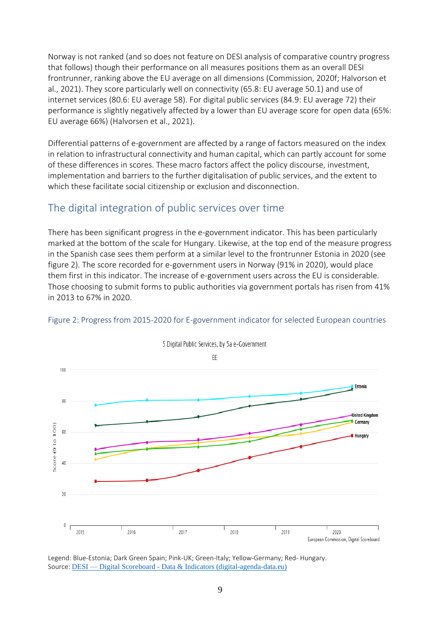Norway is not ranked (and so does not feature on DESI analysis of comparative country progress that follows) though their performance on all measures positions them as an overall DESI frontrunner, ranking above the EU average on all dimensions (Commission, 2020f; Halvorson et al., 2021). They score particularly well on connectivity (65.8: EU average 50.1) and use of internet services (80.6: EU average 58). For digital public services (84.9: EU average 72) their performance is slightly negatively affected by a lower than EU average score for open data (65%: EU average 66%) (Halvorsen et al., 2021).

Differential patterns of e-government are affected by a range of factors measured on the index in relation to infrastructural connectivity and human capital, which can partly account for some of these differences in scores. These macro factors affect the policy discourse, investment, implementation and barriers to the further digitalisation of public services, and the extent to which these facilitate social citizenship or exclusion and disconnection.

### <span id="page-8-0"></span>The digital integration of public services over time

There has been significant progress in the e-government indicator. This has been particularly marked at the bottom of the scale for Hungary. Likewise, at the top end of the measure progress in the Spanish case sees them perform at a similar level to the frontrunner Estonia in 2020 (see figure 2). The score recorded for e-government users in Norway (91% in 2020), would place them first in this indicator. The increase of e-government users across the EU is considerable. Those choosing to submit forms to public authorities via government portals has risen from 41% in 2013 to 67% in 2020.



#### <span id="page-8-1"></span>Figure 2: Progress from 2015-2020 for E-government indicator for selected European countries

Legend: Blue-Estonia; Dark Green Spain; Pink-UK; Green-Italy; Yellow-Germany; Red- Hungary. Source: **DESI** — Digital Scoreboard - [Data & Indicators \(digital-agenda-data.eu\)](https://digital-agenda-data.eu/datasets/desi/visualizations)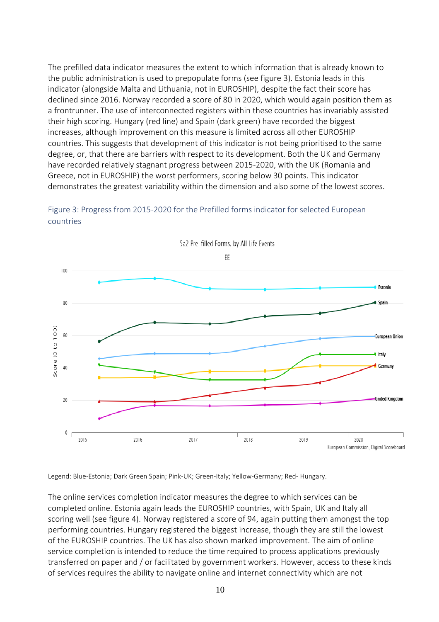The prefilled data indicator measures the extent to which information that is already known to the public administration is used to prepopulate forms (see figure 3). Estonia leads in this indicator (alongside Malta and Lithuania, not in EUROSHIP), despite the fact their score has declined since 2016. Norway recorded a score of 80 in 2020, which would again position them as a frontrunner. The use of interconnected registers within these countries has invariably assisted their high scoring. Hungary (red line) and Spain (dark green) have recorded the biggest increases, although improvement on this measure is limited across all other EUROSHIP countries. This suggests that development of this indicator is not being prioritised to the same degree, or, that there are barriers with respect to its development. Both the UK and Germany have recorded relatively stagnant progress between 2015-2020, with the UK (Romania and Greece, not in EUROSHIP) the worst performers, scoring below 30 points. This indicator demonstrates the greatest variability within the dimension and also some of the lowest scores.



<span id="page-9-0"></span>Figure 3: Progress from 2015-2020 for the Prefilled forms indicator for selected European countries

Legend: Blue-Estonia; Dark Green Spain; Pink-UK; Green-Italy; Yellow-Germany; Red- Hungary.

The online services completion indicator measures the degree to which services can be completed online. Estonia again leads the EUROSHIP countries, with Spain, UK and Italy all scoring well (see figure 4). Norway registered a score of 94, again putting them amongst the top performing countries. Hungary registered the biggest increase, though they are still the lowest of the EUROSHIP countries. The UK has also shown marked improvement. The aim of online service completion is intended to reduce the time required to process applications previously transferred on paper and / or facilitated by government workers. However, access to these kinds of services requires the ability to navigate online and internet connectivity which are not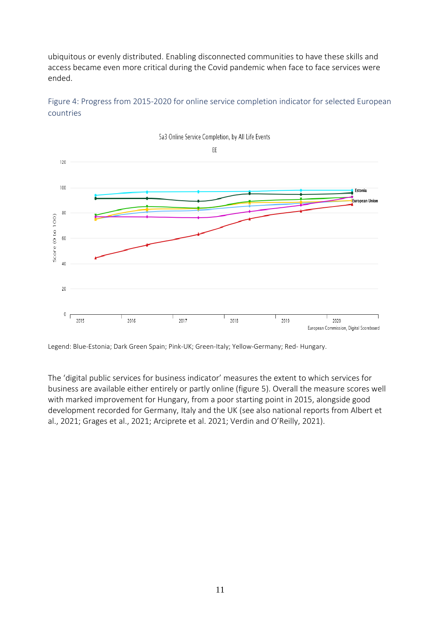ubiquitous or evenly distributed. Enabling disconnected communities to have these skills and access became even more critical during the Covid pandemic when face to face services were ended.



<span id="page-10-0"></span>Figure 4: Progress from 2015-2020 for online service completion indicator for selected European countries

Legend: Blue-Estonia; Dark Green Spain; Pink-UK; Green-Italy; Yellow-Germany; Red- Hungary.

The 'digital public services for business indicator' measures the extent to which services for business are available either entirely or partly online (figure 5). Overall the measure scores well with marked improvement for Hungary, from a poor starting point in 2015, alongside good development recorded for Germany, Italy and the UK (see also national reports from Albert et al., 2021; Grages et al., 2021; Arciprete et al. 2021; Verdin and O'Reilly, 2021).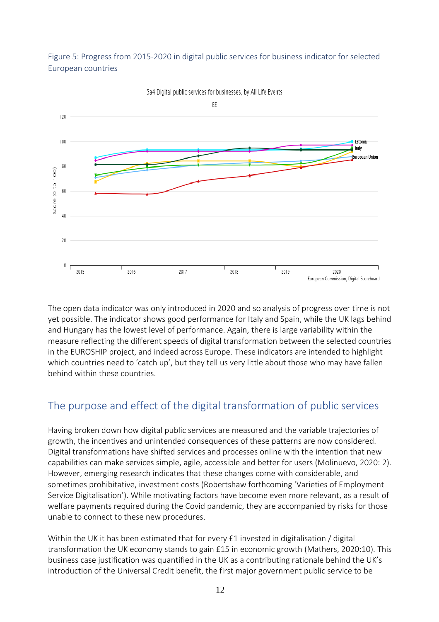#### <span id="page-11-1"></span>Figure 5: Progress from 2015-2020 in digital public services for business indicator for selected European countries



5a4 Digital public services for businesses, by All Life Events

The open data indicator was only introduced in 2020 and so analysis of progress over time is not yet possible. The indicator shows good performance for Italy and Spain, while the UK lags behind and Hungary has the lowest level of performance. Again, there is large variability within the measure reflecting the different speeds of digital transformation between the selected countries in the EUROSHIP project, and indeed across Europe. These indicators are intended to highlight which countries need to 'catch up', but they tell us very little about those who may have fallen behind within these countries.

# <span id="page-11-0"></span>The purpose and effect of the digital transformation of public services

Having broken down how digital public services are measured and the variable trajectories of growth, the incentives and unintended consequences of these patterns are now considered. Digital transformations have shifted services and processes online with the intention that new capabilities can make services simple, agile, accessible and better for users (Molinuevo, 2020: 2). However, emerging research indicates that these changes come with considerable, and sometimes prohibitative, investment costs (Robertshaw forthcoming 'Varieties of Employment Service Digitalisation'). While motivating factors have become even more relevant, as a result of welfare payments required during the Covid pandemic, they are accompanied by risks for those unable to connect to these new procedures.

Within the UK it has been estimated that for every £1 invested in digitalisation / digital transformation the UK economy stands to gain £15 in economic growth (Mathers, 2020:10). This business case justification was quantified in the UK as a contributing rationale behind the UK's introduction of the Universal Credit benefit, the first major government public service to be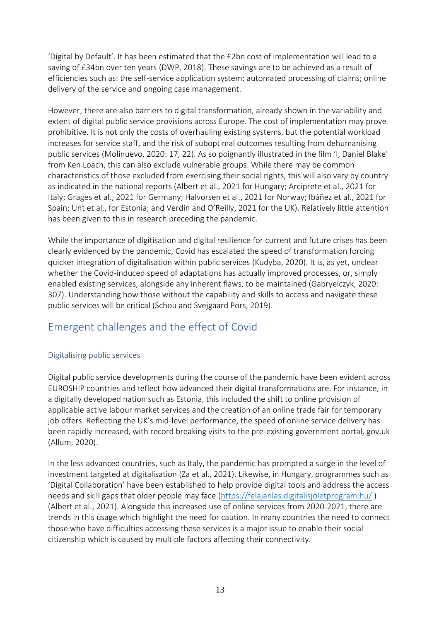'Digital by Default'. It has been estimated that the £2bn cost of implementation will lead to a saving of £34bn over ten years (DWP, 2018). These savings are to be achieved as a result of efficiencies such as: the self-service application system; automated processing of claims; online delivery of the service and ongoing case management.

However, there are also barriers to digital transformation, already shown in the variability and extent of digital public service provisions across Europe. The cost of implementation may prove prohibitive. It is not only the costs of overhauling existing systems, but the potential workload increases for service staff, and the risk of suboptimal outcomes resulting from dehumanising public services (Molinuevo, 2020: 17, 22). As so poignantly illustrated in the film 'I, Daniel Blake' from Ken Loach, this can also exclude vulnerable groups. While there may be common characteristics of those excluded from exercising their social rights, this will also vary by country as indicated in the national reports (Albert et al., 2021 for Hungary; Arciprete et al., 2021 for Italy; Grages et al., 2021 for Germany; Halvorsen et al., 2021 for Norway; Ibáñez et al., 2021 for Spain; Unt et al., for Estonia; and Verdin and O'Reilly, 2021 for the UK). Relatively little attention has been given to this in research preceding the pandemic.

While the importance of digitisation and digital resilience for current and future crises has been clearly evidenced by the pandemic, Covid has escalated the speed of transformation forcing quicker integration of digitalisation within public services (Kudyba, 2020). It is, as yet, unclear whether the Covid-induced speed of adaptations has actually improved processes, or, simply enabled existing services, alongside any inherent flaws, to be maintained (Gabryelczyk, 2020: 307). Understanding how those without the capability and skills to access and navigate these public services will be critical (Schou and Svejgaard Pors, 2019).

# <span id="page-12-0"></span>Emergent challenges and the effect of Covid

#### <span id="page-12-1"></span>Digitalising public services

Digital public service developments during the course of the pandemic have been evident across EUROSHIP countries and reflect how advanced their digital transformations are. For instance, in a digitally developed nation such as Estonia, this included the shift to online provision of applicable active labour market services and the creation of an online trade fair for temporary job offers. Reflecting the UK's mid-level performance, the speed of online service delivery has been rapidly increased, with record breaking visits to the pre-existing government portal, gov.uk (Allum, 2020).

In the less advanced countries, such as Italy, the pandemic has prompted a surge in the level of investment targeted at digitalisation (Za et al., 2021). Likewise, in Hungary, programmes such as 'Digital Collaboration' have been established to help provide digital tools and address the access needs and skill gaps that older people may face [\(https://felajanlas.digitalisjoletprogram.hu/](https://felajanlas.digitalisjoletprogram.hu/)) (Albert et al., 2021). Alongside this increased use of online services from 2020-2021, there are trends in this usage which highlight the need for caution. In many countries the need to connect those who have difficulties accessing these services is a major issue to enable their social citizenship which is caused by multiple factors affecting their connectivity.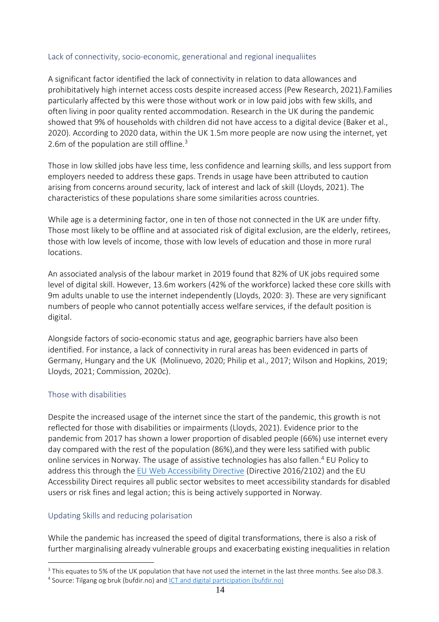#### <span id="page-13-0"></span>Lack of connectivity, socio-economic, generational and regional inequaliites

A significant factor identified the lack of connectivity in relation to data allowances and prohibitatively high internet access costs despite increased access (Pew Research, 2021).Families particularly affected by this were those without work or in low paid jobs with few skills, and often living in poor quality rented accommodation. Research in the UK during the pandemic showed that 9% of households with children did not have access to a digital device (Baker et al., 2020). According to 2020 data, within the UK 1.5m more people are now using the internet, yet 2.6m of the population are still offline.<sup>3</sup>

Those in low skilled jobs have less time, less confidence and learning skills, and less support from employers needed to address these gaps. Trends in usage have been attributed to caution arising from concerns around security, lack of interest and lack of skill (Lloyds, 2021). The characteristics of these populations share some similarities across countries.

While age is a determining factor, one in ten of those not connected in the UK are under fifty. Those most likely to be offline and at associated risk of digital exclusion, are the elderly, retirees, those with low levels of income, those with low levels of education and those in more rural locations.

An associated analysis of the labour market in 2019 found that 82% of UK jobs required some level of digital skill. However, 13.6m workers (42% of the workforce) lacked these core skills with 9m adults unable to use the internet independently (Lloyds, 2020: 3). These are very significant numbers of people who cannot potentially access welfare services, if the default position is digital.

Alongside factors of socio-economic status and age, geographic barriers have also been identified. For instance, a lack of connectivity in rural areas has been evidenced in parts of Germany, Hungary and the UK (Molinuevo, 2020; Philip et al., 2017; Wilson and Hopkins, 2019; Lloyds, 2021; Commission, 2020c).

#### <span id="page-13-1"></span>Those with disabilities

Despite the increased usage of the internet since the start of the pandemic, this growth is not reflected for those with disabilities or impairments (Lloyds, 2021). Evidence prior to the pandemic from 2017 has shown a lower proportion of disabled people (66%) use internet every day compared with the rest of the population (86%),and they were less satified with public online services in Norway. The usage of assistive technologies has also fallen. <sup>4</sup> EU Policy to address this through th[e EU Web Accessibility Directive](https://digital-strategy.ec.europa.eu/en/policies/web-accessibility) (Directive 2016/2102) and the EU Accessbility Direct requires all public sector websites to meet accessibility standards for disabled users or risk fines and legal action; this is being actively supported in Norway.

#### <span id="page-13-2"></span>Updating Skills and reducing polarisation

While the pandemic has increased the speed of digital transformations, there is also a risk of further marginalising already vulnerable groups and exacerbating existing inequalities in relation

 $3$  This equates to 5% of the UK population that have not used the internet in the last three months. See also D8.3.

<sup>&</sup>lt;sup>4</sup> Source: Tilgang og bruk (bufdir.no) and **ICT** and digital participation (bufdir.no)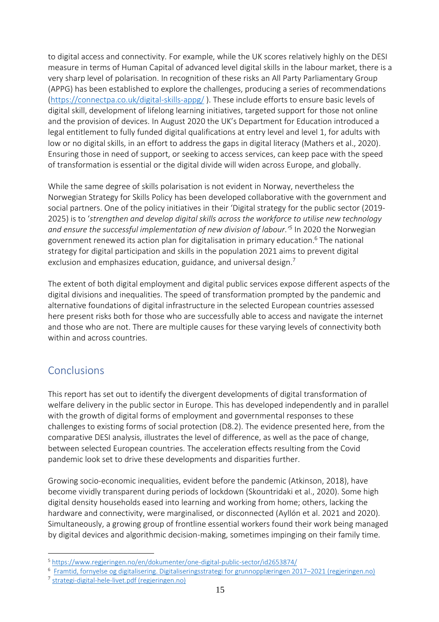to digital access and connectivity. For example, while the UK scores relatively highly on the DESI measure in terms of Human Capital of advanced level digital skills in the labour market, there is a very sharp level of polarisation. In recognition of these risks an All Party Parliamentary Group (APPG) has been established to explore the challenges, producing a series of recommendations [\(https://connectpa.co.uk/digital-skills-appg/](https://connectpa.co.uk/digital-skills-appg/) ). These include efforts to ensure basic levels of digital skill, development of lifelong learning initiatives, targeted support for those not online and the provision of devices. In August 2020 the UK's Department for Education introduced a legal entitlement to fully funded digital qualifications at entry level and level 1, for adults with low or no digital skills, in an effort to address the gaps in digital literacy (Mathers et al., 2020). Ensuring those in need of support, or seeking to access services, can keep pace with the speed of transformation is essential or the digital divide will widen across Europe, and globally.

While the same degree of skills polarisation is not evident in Norway, nevertheless the Norwegian Strategy for Skills Policy has been developed collaborative with the government and social partners. One of the policy initiatives in their 'Digital strategy for the public sector (2019- 2025) is to '*strengthen and develop digital skills across the workforce to utilise new technology and ensure the successful implementation of new division of labour.'<sup>5</sup>* In 2020 the Norwegian government renewed its action plan for digitalisation in primary education. <sup>6</sup> The national strategy for digital participation and skills in the population 2021 aims to prevent digital exclusion and emphasizes education, guidance, and universal design.<sup>7</sup>

The extent of both digital employment and digital public services expose different aspects of the digital divisions and inequalities. The speed of transformation prompted by the pandemic and alternative foundations of digital infrastructure in the selected European countries assessed here present risks both for those who are successfully able to access and navigate the internet and those who are not. There are multiple causes for these varying levels of connectivity both within and across countries.

# <span id="page-14-0"></span>Conclusions

This report has set out to identify the divergent developments of digital transformation of welfare delivery in the public sector in Europe. This has developed independently and in parallel with the growth of digital forms of employment and governmental responses to these challenges to existing forms of social protection (D8.2). The evidence presented here, from the comparative DESI analysis, illustrates the level of difference, as well as the pace of change, between selected European countries. The acceleration effects resulting from the Covid pandemic look set to drive these developments and disparities further.

Growing socio-economic inequalities, evident before the pandemic (Atkinson, 2018), have become vividly transparent during periods of lockdown (Skountridaki et al., 2020). Some high digital density households eased into learning and working from home; others, lacking the hardware and connectivity, were marginalised, or disconnected (Ayllón et al. 2021 and 2020). Simultaneously, a growing group of frontline essential workers found their work being managed by digital devices and algorithmic decision-making, sometimes impinging on their family time.

<sup>5</sup> <https://www.regjeringen.no/en/dokumenter/one-digital-public-sector/id2653874/>

<sup>6</sup> [Framtid, fornyelse og digitalisering. Digitaliseringsstrategi for grunnopplæringen 2017](https://www.regjeringen.no/contentassets/dc02a65c18a7464db394766247e5f5fc/kd_framtid_fornyelse_digitalisering_nett.pdf)–2021 (regjeringen.no)

<sup>7</sup> [strategi-digital-hele-livet.pdf \(regjeringen.no\)](https://www.regjeringen.no/contentassets/8f8751780e9749bfa8946526b51f10f4/strategi-digital-hele-livet.pdf)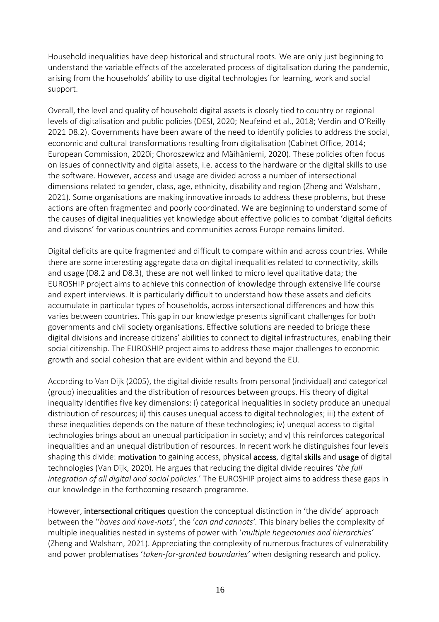Household inequalities have deep historical and structural roots. We are only just beginning to understand the variable effects of the accelerated process of digitalisation during the pandemic, arising from the households' ability to use digital technologies for learning, work and social support.

Overall, the level and quality of household digital assets is closely tied to country or regional levels of digitalisation and public policies (DESI, 2020; Neufeind et al., 2018; Verdin and O'Reilly 2021 D8.2). Governments have been aware of the need to identify policies to address the social, economic and cultural transformations resulting from digitalisation (Cabinet Office, 2014; European Commission, 2020i; Choroszewicz and Mäihäniemi, 2020). These policies often focus on issues of connectivity and digital assets, i.e. access to the hardware or the digital skills to use the software. However, access and usage are divided across a number of intersectional dimensions related to gender, class, age, ethnicity, disability and region (Zheng and Walsham, 2021). Some organisations are making innovative inroads to address these problems, but these actions are often fragmented and poorly coordinated. We are beginning to understand some of the causes of digital inequalities yet knowledge about effective policies to combat 'digital deficits and divisons' for various countries and communities across Europe remains limited.

Digital deficits are quite fragmented and difficult to compare within and across countries. While there are some interesting aggregate data on digital inequalities related to connectivity, skills and usage (D8.2 and D8.3), these are not well linked to micro level qualitative data; the EUROSHIP project aims to achieve this connection of knowledge through extensive life course and expert interviews. It is particularly difficult to understand how these assets and deficits accumulate in particular types of households, across intersectional differences and how this varies between countries. This gap in our knowledge presents significant challenges for both governments and civil society organisations. Effective solutions are needed to bridge these digital divisions and increase citizens' abilities to connect to digital infrastructures, enabling their social citizenship. The EUROSHIP project aims to address these major challenges to economic growth and social cohesion that are evident within and beyond the EU.

According to Van Dijk (2005), the digital divide results from personal (individual) and categorical (group) inequalities and the distribution of resources between groups. His theory of digital inequality identifies five key dimensions: i) categorical inequalities in society produce an unequal distribution of resources; ii) this causes unequal access to digital technologies; iii) the extent of these inequalities depends on the nature of these technologies; iv) unequal access to digital technologies brings about an unequal participation in society; and v) this reinforces categorical inequalities and an unequal distribution of resources. In recent work he distinguishes four levels shaping this divide: motivation to gaining access, physical access, digital skills and usage of digital technologies (Van Dijk, 2020). He argues that reducing the digital divide requires '*the full integration of all digital and social policies*.' The EUROSHIP project aims to address these gaps in our knowledge in the forthcoming research programme.

However, intersectional critiques question the conceptual distinction in 'the divide' approach between the ''*haves and have-nots'*, the '*can and cannots'.* This binary belies the complexity of multiple inequalities nested in systems of power with '*multiple hegemonies and hierarchies'* (Zheng and Walsham, 2021). Appreciating the complexity of numerous fractures of vulnerability and power problematises '*taken-for-granted boundaries'* when designing research and policy*.*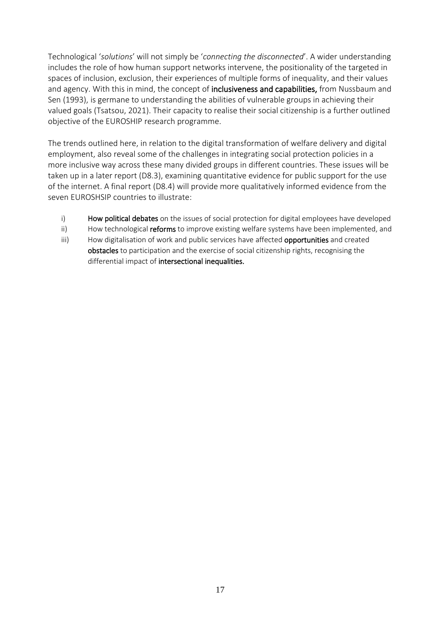Technological '*solutions*' will not simply be '*connecting the disconnected*'. A wider understanding includes the role of how human support networks intervene, the positionality of the targeted in spaces of inclusion, exclusion, their experiences of multiple forms of inequality, and their values and agency. With this in mind, the concept of inclusiveness and capabilities, from Nussbaum and Sen (1993), is germane to understanding the abilities of vulnerable groups in achieving their valued goals (Tsatsou, 2021). Their capacity to realise their social citizenship is a further outlined objective of the EUROSHIP research programme.

The trends outlined here, in relation to the digital transformation of welfare delivery and digital employment, also reveal some of the challenges in integrating social protection policies in a more inclusive way across these many divided groups in different countries. These issues will be taken up in a later report (D8.3), examining quantitative evidence for public support for the use of the internet. A final report (D8.4) will provide more qualitatively informed evidence from the seven EUROSHSIP countries to illustrate:

- i) How political debates on the issues of social protection for digital employees have developed
- ii) How technological reforms to improve existing welfare systems have been implemented, and
- iii) How digitalisation of work and public services have affected **opportunities** and created obstacles to participation and the exercise of social citizenship rights, recognising the differential impact of intersectional inequalities.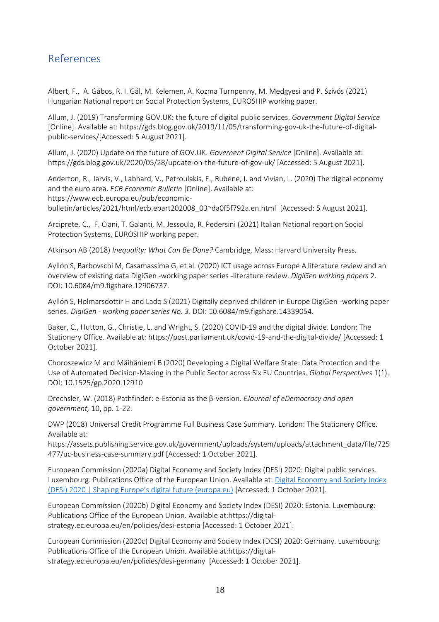## <span id="page-17-0"></span>References

Albert, F., A. Gábos, R. I. Gál, M. Kelemen, A. Kozma Turnpenny, M. Medgyesi and P. Szivós (2021) Hungarian National report on Social Protection Systems, EUROSHIP working paper.

Allum, J. (2019) Transforming GOV.UK: the future of digital public services. *Government Digital Service*  [Online]. Available at: https://gds.blog.gov.uk/2019/11/05/transforming-gov-uk-the-future-of-digitalpublic-services/[Accessed: 5 August 2021].

Allum, J. (2020) Update on the future of GOV.UK. *Governent Digital Service* [Online]. Available at: https://gds.blog.gov.uk/2020/05/28/update-on-the-future-of-gov-uk/ [Accessed: 5 August 2021].

Anderton, R., Jarvis, V., Labhard, V., Petroulakis, F., Rubene, I. and Vivian, L. (2020) The digital economy and the euro area. *ECB Economic Bulletin* [Online]. Available at: https://www.ecb.europa.eu/pub/economic-

bulletin/articles/2021/html/ecb.ebart202008\_03~da0f5f792a.en.html [Accessed: 5 August 2021].

Arciprete, C., F. Ciani, T. Galanti, M. Jessoula, R. Pedersini (2021) Italian National report on Social Protection Systems, EUROSHIP working paper.

Atkinson AB (2018) *Inequality: What Can Be Done?* Cambridge, Mass: Harvard University Press.

Ayllón S, Barbovschi M, Casamassima G, et al. (2020) ICT usage across Europe A literature review and an overview of existing data DigiGen -working paper series -literature review. *DigiGen working papers* 2. DOI: 10.6084/m9.figshare.12906737.

Ayllón S, Holmarsdottir H and Lado S (2021) Digitally deprived children in Europe DigiGen -working paper series. *DigiGen - working paper series No. 3*. DOI: 10.6084/m9.figshare.14339054.

Baker, C., Hutton, G., Christie, L. and Wright, S. (2020) COVID-19 and the digital divide. London: The Stationery Office. Available at:<https://post.parliament.uk/covid-19-and-the-digital-divide/> [Accessed: 1 October 2021].

Choroszewicz M and Mäihäniemi B (2020) Developing a Digital Welfare State: Data Protection and the Use of Automated Decision-Making in the Public Sector across Six EU Countries. *Global Perspectives* 1(1). DOI: 10.1525/gp.2020.12910

Drechsler, W. (2018) Pathfinder: e-Estonia as the β-version. *EJournal of eDemocracy and open government,* 10, pp. 1-22.

DWP (2018) Universal Credit Programme Full Business Case Summary. London: The Stationery Office. Available at:

https://assets.publishing.service.gov.uk/government/uploads/system/uploads/attachment\_data/file/725 477/uc-business-case-summary.pdf [Accessed: 1 October 2021].

European Commission (2020a) Digital Economy and Society Index (DESI) 2020: Digital public services. Luxembourg: Publications Office of the European Union. Available at: [Digital Economy and Society Index](https://digital-strategy.ec.europa.eu/en/library/digital-economy-and-society-index-desi-2020)  [\(DESI\) 2020 | Shaping Europe's digital f](https://digital-strategy.ec.europa.eu/en/library/digital-economy-and-society-index-desi-2020)uture (europa.eu) [Accessed: 1 October 2021].

European Commission (2020b) Digital Economy and Society Index (DESI) 2020: Estonia. Luxembourg: Publications Office of the European Union. Available at:https://digitalstrategy.ec.europa.eu/en/policies/desi-estonia [Accessed: 1 October 2021].

European Commission (2020c) Digital Economy and Society Index (DESI) 2020: Germany. Luxembourg: Publications Office of the European Union. Available at:https://digitalstrategy.ec.europa.eu/en/policies/desi-germany [Accessed: 1 October 2021].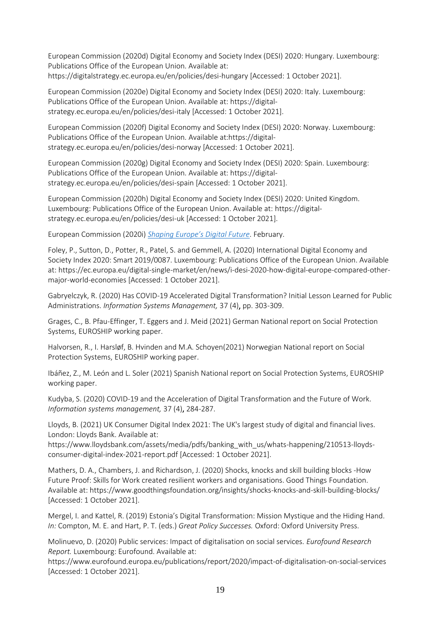European Commission (2020d) Digital Economy and Society Index (DESI) 2020: Hungary. Luxembourg: Publications Office of the European Union. Available at: https://digitalstrategy.ec.europa.eu/en/policies/desi-hungary [Accessed: 1 October 2021].

European Commission (2020e) Digital Economy and Society Index (DESI) 2020: Italy. Luxembourg: Publications Office of the European Union. Available at: https://digitalstrategy.ec.europa.eu/en/policies/desi-italy [Accessed: 1 October 2021].

European Commission (2020f) Digital Economy and Society Index (DESI) 2020: Norway. Luxembourg: Publications Office of the European Union. Available at:https://digitalstrategy.ec.europa.eu/en/policies/desi-norway [Accessed: 1 October 2021].

European Commission (2020g) Digital Economy and Society Index (DESI) 2020: Spain. Luxembourg: Publications Office of the European Union. Available at: https://digitalstrategy.ec.europa.eu/en/policies/desi-spain [Accessed: 1 October 2021].

European Commission (2020h) Digital Economy and Society Index (DESI) 2020: United Kingdom. Luxembourg: Publications Office of the European Union. Available at: https://digitalstrategy.ec.europa.eu/en/policies/desi-uk [Accessed: 1 October 2021].

European Commission (2020i) *[Shaping Europe's Digital Future](https://ec.europa.eu/info/sites/info/files/communication-shaping-europes-digital-future-feb2020_en_4.pdf)*. February.

Foley, P., Sutton, D., Potter, R., Patel, S. and Gemmell, A. (2020) International Digital Economy and Society Index 2020: Smart 2019/0087. Luxembourg: Publications Office of the European Union. Available at: https://ec.europa.eu/digital-single-market/en/news/i-desi-2020-how-digital-europe-compared-othermajor-world-economies [Accessed: 1 October 2021].

Gabryelczyk, R. (2020) Has COVID-19 Accelerated Digital Transformation? Initial Lesson Learned for Public Administrations. *Information Systems Management,* 37 (4), pp. 303-309.

Grages, C., B. Pfau-Effinger, T. Eggers and J. Meid (2021) German National report on Social Protection Systems, EUROSHIP working paper.

Halvorsen, R., I. Harsløf, B. Hvinden and M.A. Schoyen(2021) Norwegian National report on Social Protection Systems, EUROSHIP working paper.

Ibáñez, Z., M. León and L. Soler (2021) Spanish National report on Social Protection Systems, EUROSHIP working paper.

Kudyba, S. (2020) COVID-19 and the Acceleration of Digital Transformation and the Future of Work. *Information systems management,* 37 (4), 284-287.

Lloyds, B. (2021) UK Consumer Digital Index 2021: The UK's largest study of digital and financial lives. London: Lloyds Bank. Available at:

https://www.lloydsbank.com/assets/media/pdfs/banking\_with\_us/whats-happening/210513-lloydsconsumer-digital-index-2021-report.pdf [Accessed: 1 October 2021].

Mathers, D. A., Chambers, J. and Richardson, J. (2020) Shocks, knocks and skill building blocks -How Future Proof: Skills for Work created resilient workers and organisations. Good Things Foundation. Available at: https://www.goodthingsfoundation.org/insights/shocks-knocks-and-skill-building-blocks/ [Accessed: 1 October 2021].

Mergel, I. and Kattel, R. (2019) Estonia's Digital Transformation: Mission Mystique and the Hiding Hand. *In:* Compton, M. E. and Hart, P. T. (eds.) *Great Policy Successes.* Oxford: Oxford University Press.

Molinuevo, D. (2020) Public services: Impact of digitalisation on social services. *Eurofound Research Report.* Luxembourg: Eurofound. Available at:

https://www.eurofound.europa.eu/publications/report/2020/impact-of-digitalisation-on-social-services [Accessed: 1 October 2021].